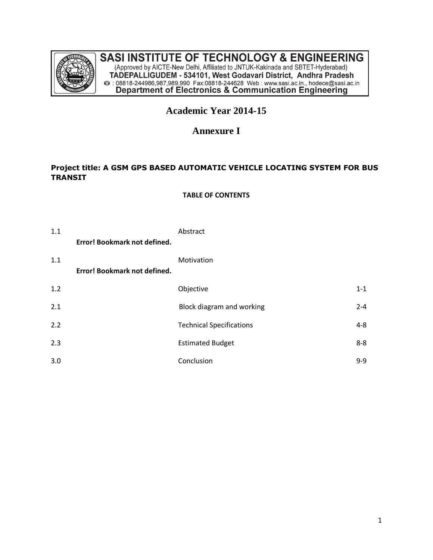

# **SASI INSTITUTE OF TECHNOLOGY & ENGINEERING**

(Approved by AICTE-New Delhi, Affiliated to JNTUK-Kakinada and SBTET-Hyderabad)<br>TADEPALLIGUDEM - 534101, West Godavari District, Andhra Pradesh<br>@ : 08818-244986,987,989,990 Fax:08818-244628 Web : www.sasi.ac.in., hodece@sa

# **Academic Year 2014-15**

# **Annexure I**

# **Project title: A GSM GPS BASED AUTOMATIC VEHICLE LOCATING SYSTEM FOR BUS TRANSIT**

#### **TABLE OF CONTENTS**

| 1.1 |                              | Abstract                        |         |
|-----|------------------------------|---------------------------------|---------|
|     | Error! Bookmark not defined. |                                 |         |
| 1.1 | Error! Bookmark not defined. | Motivation                      |         |
| 1.2 |                              | Objective                       | $1 - 1$ |
| 2.1 |                              | Block diagram and working       | $2 - 4$ |
| 2.2 |                              | <b>Technical Specifications</b> | $4 - 8$ |
| 2.3 |                              | <b>Estimated Budget</b>         | $8 - 8$ |
| 3.0 |                              | Conclusion                      | $9 - 9$ |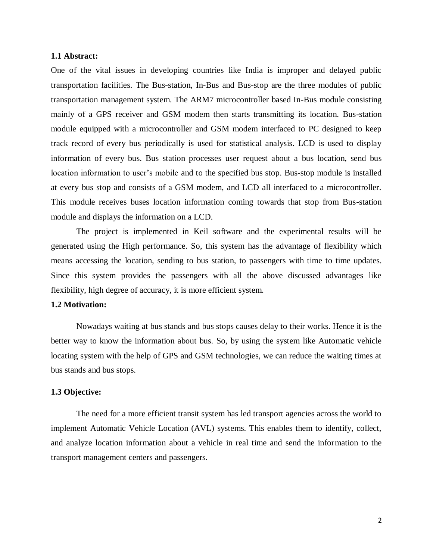### **1.1 Abstract:**

One of the vital issues in developing countries like India is improper and delayed public transportation facilities. The Bus-station, In-Bus and Bus-stop are the three modules of public transportation management system. The ARM7 microcontroller based In-Bus module consisting mainly of a GPS receiver and GSM modem then starts transmitting its location. Bus-station module equipped with a microcontroller and GSM modem interfaced to PC designed to keep track record of every bus periodically is used for statistical analysis. LCD is used to display information of every bus. Bus station processes user request about a bus location, send bus location information to user's mobile and to the specified bus stop. Bus-stop module is installed at every bus stop and consists of a GSM modem, and LCD all interfaced to a microcontroller. This module receives buses location information coming towards that stop from Bus-station module and displays the information on a LCD.

The project is implemented in Keil software and the experimental results will be generated using the High performance. So, this system has the advantage of flexibility which means accessing the location, sending to bus station, to passengers with time to time updates. Since this system provides the passengers with all the above discussed advantages like flexibility, high degree of accuracy, it is more efficient system.

#### **1.2 Motivation:**

Nowadays waiting at bus stands and bus stops causes delay to their works. Hence it is the better way to know the information about bus. So, by using the system like Automatic vehicle locating system with the help of GPS and GSM technologies, we can reduce the waiting times at bus stands and bus stops.

#### **1.3 Objective:**

The need for a more efficient transit system has led transport agencies across the world to implement Automatic Vehicle Location (AVL) systems. This enables them to identify, collect, and analyze location information about a vehicle in real time and send the information to the transport management centers and passengers.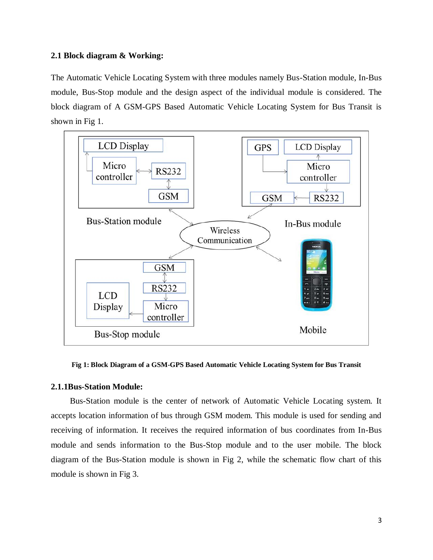#### **2.1 Block diagram & Working:**

The Automatic Vehicle Locating System with three modules namely Bus-Station module, In-Bus module, Bus-Stop module and the design aspect of the individual module is considered. The block diagram of A GSM-GPS Based Automatic Vehicle Locating System for Bus Transit is shown in Fig 1.



**Fig 1: Block Diagram of a GSM-GPS Based Automatic Vehicle Locating System for Bus Transit**

#### **2.1.1Bus-Station Module:**

 Bus-Station module is the center of network of Automatic Vehicle Locating system. It accepts location information of bus through GSM modem. This module is used for sending and receiving of information. It receives the required information of bus coordinates from In-Bus module and sends information to the Bus-Stop module and to the user mobile. The block diagram of the Bus-Station module is shown in Fig 2, while the schematic flow chart of this module is shown in Fig 3.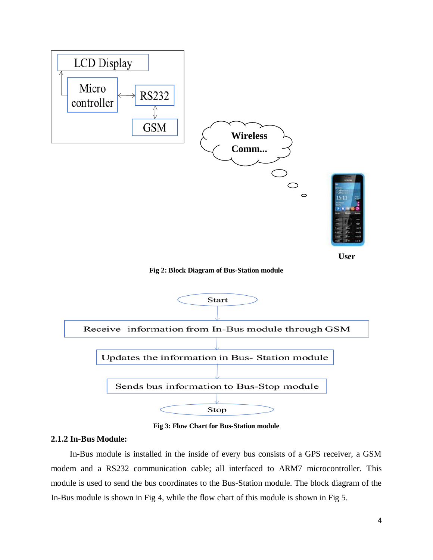

**Fig 3: Flow Chart for Bus-Station module**

#### **2.1.2 In-Bus Module:**

 In-Bus module is installed in the inside of every bus consists of a GPS receiver, a GSM modem and a RS232 communication cable; all interfaced to ARM7 microcontroller. This module is used to send the bus coordinates to the Bus-Station module. The block diagram of the In-Bus module is shown in Fig 4, while the flow chart of this module is shown in Fig 5.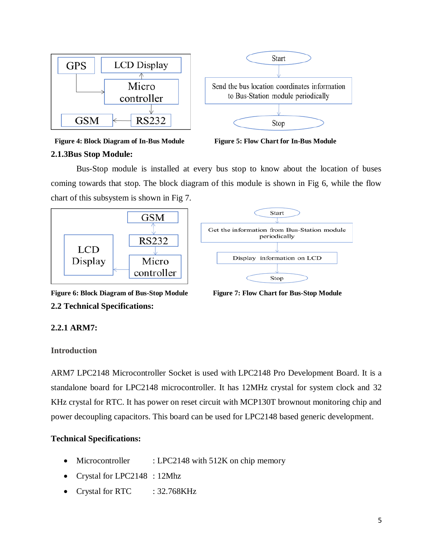

 **Figure 4: Block Diagram of In-Bus Module Figure 5: Flow Chart for In-Bus Module**

# **2.1.3Bus Stop Module:**

Bus-Stop module is installed at every bus stop to know about the location of buses coming towards that stop. The block diagram of this module is shown in Fig 6, while the flow chart of this subsystem is shown in Fig 7.



**Figure 6: Block Diagram of Bus-Stop Module Figure 7: Flow Chart for Bus-Stop Module 2.2 Technical Specifications:**

# **2.2.1 ARM7:**

# **Introduction**

ARM7 LPC2148 Microcontroller Socket is used with [LPC2148 Pro Development Board.](http://www.nex-robotics.com/products-topmenu-45.html?page=shop.product_details&flypage=flypage.tpl&product_id=894&category_id=123&option=com_virtuemart&Itemid=45) It is a standalone board for LPC2148 microcontroller. It has 12MHz crystal for system clock and 32 KHz crystal for RTC. It has power on reset circuit with MCP130T brownout monitoring chip and power decoupling capacitors. This board can be used for LPC2148 based generic development.

# **Technical Specifications:**

- Microcontroller : LPC2148 with 512K on chip memory
- Crystal for LPC2148 : 12Mhz
- Crystal for RTC : 32.768KHz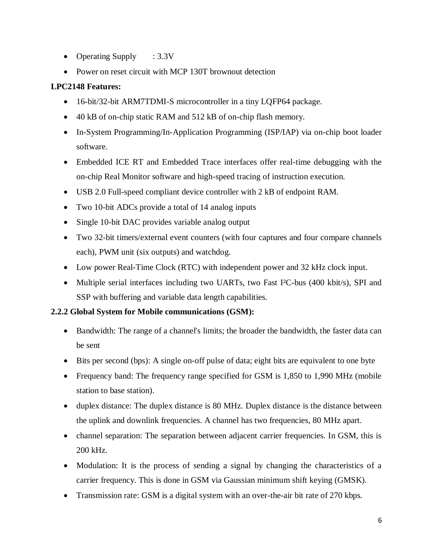- Operating Supply : 3.3V
- Power on reset circuit with MCP 130T brownout detection

## **LPC2148 Features:**

- 16-bit/32-bit ARM7TDMI-S microcontroller in a tiny LQFP64 package.
- 40 kB of on-chip static RAM and 512 kB of on-chip flash memory.
- In-System Programming/In-Application Programming (ISP/IAP) via on-chip boot loader software.
- Embedded ICE RT and Embedded Trace interfaces offer real-time debugging with the on-chip Real Monitor software and high-speed tracing of instruction execution.
- USB 2.0 Full-speed compliant device controller with 2 kB of endpoint RAM.
- Two 10-bit ADCs provide a total of 14 analog inputs
- Single 10-bit DAC provides variable analog output
- Two 32-bit timers/external event counters (with four captures and four compare channels each), PWM unit (six outputs) and watchdog.
- Low power Real-Time Clock (RTC) with independent power and 32 kHz clock input.
- Multiple serial interfaces including two UARTs, two Fast I<sup>2</sup>C-bus (400 kbit/s), SPI and SSP with buffering and variable data length capabilities.

## **2.2.2 Global System for Mobile communications (GSM):**

- Bandwidth: The range of a channel's limits; the broader the bandwidth, the faster data can be sent
- Bits per second (bps): A single on-off pulse of data; eight bits are equivalent to one byte
- Frequency band: The frequency range specified for GSM is 1,850 to 1,990 MHz (mobile station to base station).
- duplex distance: The duplex distance is 80 MHz. Duplex distance is the distance between the uplink and downlink frequencies. A channel has two frequencies, 80 MHz apart.
- channel separation: The separation between adjacent carrier frequencies. In GSM, this is 200 kHz.
- Modulation: It is the process of sending a signal by changing the characteristics of a carrier frequency. This is done in GSM via Gaussian minimum shift keying (GMSK).
- Transmission rate: GSM is a digital system with an over-the-air bit rate of 270 kbps.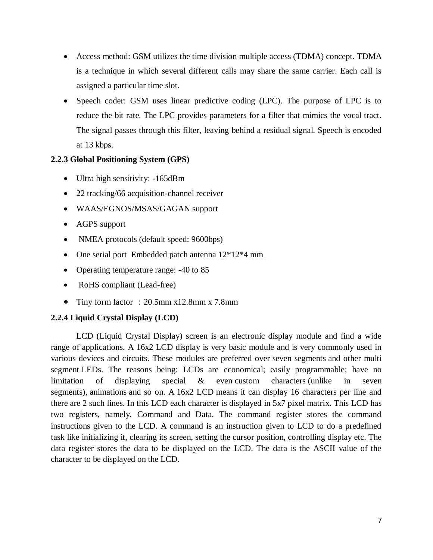- Access method: GSM utilizes the time division multiple access (TDMA) concept. TDMA is a technique in which several different calls may share the same carrier. Each call is assigned a particular time slot.
- Speech coder: GSM uses linear predictive coding (LPC). The purpose of LPC is to reduce the bit rate. The LPC provides parameters for a filter that mimics the vocal tract. The signal passes through this filter, leaving behind a residual signal. Speech is encoded at 13 kbps.

# **2.2.3 Global Positioning System (GPS)**

- Ultra high sensitivity: -165dBm
- 22 tracking/66 acquisition-channel receiver
- WAAS/EGNOS/MSAS/GAGAN support
- AGPS support
- NMEA protocols (default speed: 9600bps)
- One serial port Embedded patch antenna  $12*12*4$  mm
- Operating temperature range: -40 to 85
- RoHS compliant (Lead-free)
- Tiny form factor : 20.5mm x12.8mm x 7.8mm

# **2.2.4 Liquid Crystal Display (LCD)**

LCD (Liquid Crystal Display) screen is an electronic display module and find a wide range of applications. A 16x2 LCD display is very basic module and is very commonly used in various devices and circuits. These modules are preferred over [seven segments](http://www.engineersgarage.com/content/seven-segment-display) and other multi segment [LEDs](http://www.engineersgarage.com/content/led). The reasons being: LCDs are economical; easily programmable; have no limitation of displaying special & even [custom characters](http://www.engineersgarage.com/microcontroller/8051projects/create-custom-characters-LCD-AT89C51) (unlike in seven segments), [animations](http://www.engineersgarage.com/microcontroller/8051projects/display-custom-animations-LCD-AT89C51) and so on. A 16x2 LCD means it can display 16 characters per line and there are 2 such lines. In this LCD each character is displayed in 5x7 pixel matrix. This LCD has two registers, namely, Command and Data. The command register stores the command instructions given to the LCD. A command is an instruction given to LCD to do a predefined task like initializing it, clearing its screen, setting the cursor position, controlling display etc. The data register stores the data to be displayed on the LCD. The data is the ASCII value of the character to be displayed on the LCD.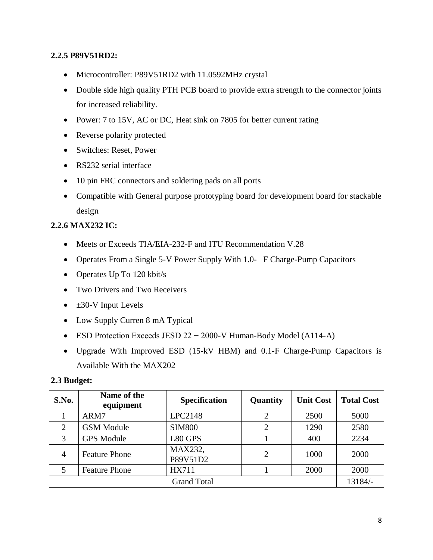### **2.2.5 P89V51RD2:**

- Microcontroller: P89V51RD2 with 11.0592MHz crystal
- Double side high quality PTH PCB board to provide extra strength to the connector joints for increased reliability.
- Power: 7 to 15V, AC or DC, Heat sink on 7805 for better current rating
- Reverse polarity protected
- Switches: Reset, Power
- RS232 serial interface
- 10 pin FRC connectors and soldering pads on all ports
- Compatible with General purpose prototyping board for development board for stackable design

## **2.2.6 MAX232 IC:**

- Meets or Exceeds TIA/EIA-232-F and ITU Recommendation V.28
- Operates From a Single 5-V Power Supply With 1.0- F Charge-Pump Capacitors
- Operates Up To 120 kbit/s
- Two Drivers and Two Receivers
- $\bullet$   $\pm 30$ -V Input Levels
- Low Supply Curren 8 mA Typical
- ESD Protection Exceeds JESD 22 − 2000-V Human-Body Model (A114-A)
- Upgrade With Improved ESD (15-kV HBM) and 0.1-F Charge-Pump Capacitors is Available With the MAX202

#### **2.3 Budget:**

| S.No.              | Name of the<br>equipment | <b>Specification</b> | Quantity       | <b>Unit Cost</b> | <b>Total Cost</b> |  |
|--------------------|--------------------------|----------------------|----------------|------------------|-------------------|--|
|                    | ARM7                     | LPC2148              | $\overline{2}$ | 2500             | 5000              |  |
| 2                  | <b>GSM Module</b>        | <b>SIM800</b>        | $\overline{2}$ | 1290             | 2580              |  |
| 3                  | <b>GPS</b> Module        | L80 GPS              |                | 400              | 2234              |  |
| 4                  | <b>Feature Phone</b>     | MAX232,<br>P89V51D2  | $\overline{2}$ | 1000             | 2000              |  |
|                    | <b>Feature Phone</b>     | <b>HX711</b>         |                | 2000             | 2000              |  |
| <b>Grand Total</b> |                          |                      |                |                  |                   |  |